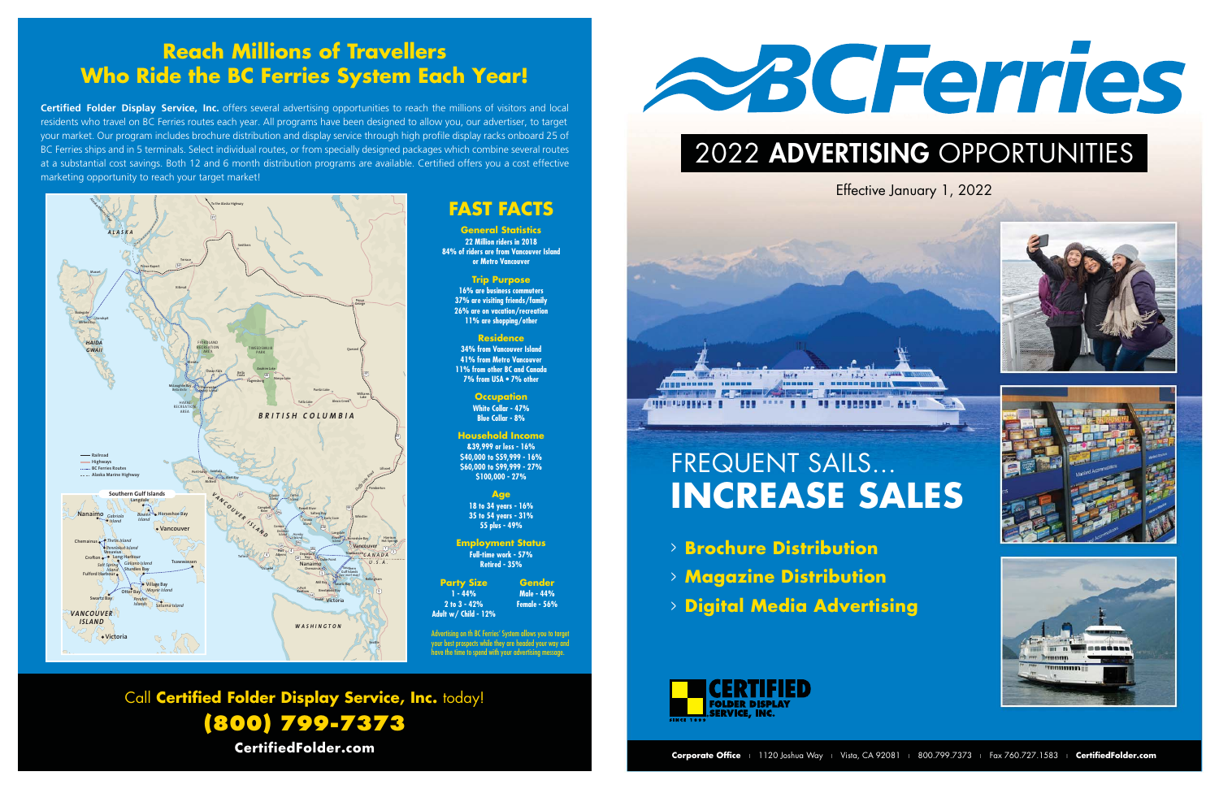## **Reach Millions of Travellers Who Ride the BC Ferries System Each Year!**

**Certified Folder Display Service, Inc.** offers several advertising opportunities to reach the millions of visitors and local residents who travel on BC Ferries routes each year. All programs have been designed to allow you, our advertiser, to target your market. Our program includes brochure distribution and display service through high profile display racks onboard 25 of BC Ferries ships and in 5 terminals. Select individual routes, or from specially designed packages which combine several routes at a substantial cost savings. Both 12 and 6 month distribution programs are available. Certified offers you a cost effective marketing opportunity to reach your target market!

Call **Certified Folder Display Service, Inc.** today!



**FAST FACTS**

**General Statistics 22 Million riders in 2018 84% of riders are from Vancouver Island or Metro Vancouver Trip Purpose 16% are business commuters 37% are visiting friends/family 26% are on vacation/recreation 11% are shopping/other Residence 34% from Vancouver Island 41% from Metro Vancouver 11% from other BC and Canada 7% from USA • 7% other Occupation White Collar - 47% Blue Collar - 8% Household Income &39,999 or less - 16% \$40,000 to \$59,999 - 16% \$60,000 to \$99,999 - 27% \$100,000 - 27% Age 18 to 34 years - 16% 35 to 54 years - 31% 55 plus - 49% Employment Status Full-time work - 57% Retired - 35%**

**(800) 799-7373 CertifiedFolder.com**

**Party Size 1 - 44% 2 to 3 - 42% Adult w/ Child - 12%**

**Gender Male - 44% Female - 56%**

Advertising on th BC Ferries' System allows you to target your best prospects while they are headed your way and have the time to spend with your advertising message.

# FREQUENT SAILS... **INCREASE SALES**



# 2022 ADVERTISING OPPORTUNITIES



- <sup>&</sup>gt; **Brochure Distribution**
- <sup>&</sup>gt; **Magazine Distribution**
- <sup>&</sup>gt; **Digital Media Advertising**



### Effective January 1, 2022